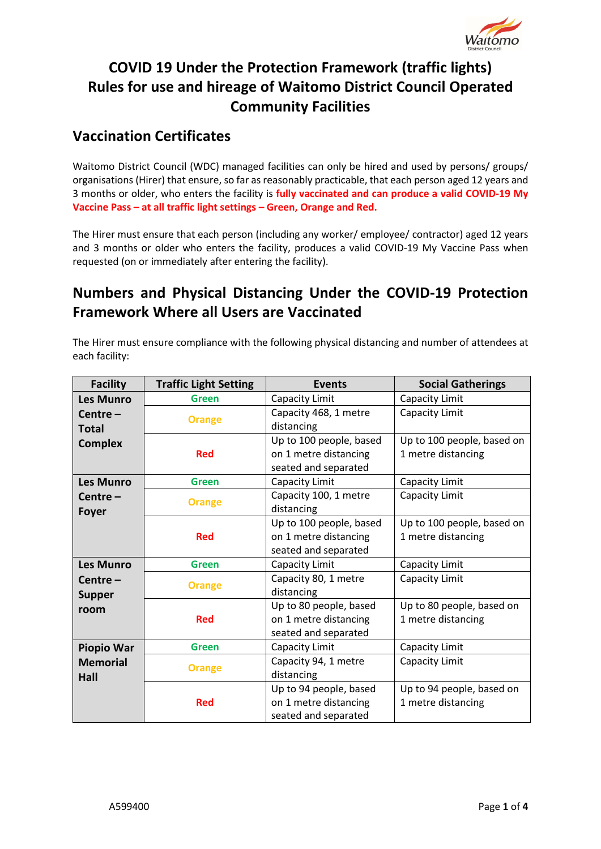

# **COVID 19 Under the Protection Framework (traffic lights) Rules for use and hireage of Waitomo District Council Operated Community Facilities**

#### **Vaccination Certificates**

Waitomo District Council (WDC) managed facilities can only be hired and used by persons/ groups/ organisations (Hirer) that ensure, so far as reasonably practicable, that each person aged 12 years and 3 months or older, who enters the facility is **fully vaccinated and can produce a valid COVID-19 My Vaccine Pass – at all traffic light settings – Green, Orange and Red.**

The Hirer must ensure that each person (including any worker/ employee/ contractor) aged 12 years and 3 months or older who enters the facility, produces a valid COVID-19 My Vaccine Pass when requested (on or immediately after entering the facility).

## **Numbers and Physical Distancing Under the COVID-19 Protection Framework Where all Users are Vaccinated**

The Hirer must ensure compliance with the following physical distancing and number of attendees at each facility:

| <b>Facility</b>   | <b>Traffic Light Setting</b> | <b>Events</b>           | <b>Social Gatherings</b>   |
|-------------------|------------------------------|-------------------------|----------------------------|
| <b>Les Munro</b>  | <b>Green</b>                 | Capacity Limit          | Capacity Limit             |
| Centre-           | <b>Orange</b>                | Capacity 468, 1 metre   | Capacity Limit             |
| Total             |                              | distancing              |                            |
| <b>Complex</b>    |                              | Up to 100 people, based | Up to 100 people, based on |
|                   | <b>Red</b>                   | on 1 metre distancing   | 1 metre distancing         |
|                   |                              | seated and separated    |                            |
| <b>Les Munro</b>  | <b>Green</b>                 | Capacity Limit          | Capacity Limit             |
| Centre –          | <b>Orange</b>                | Capacity 100, 1 metre   | Capacity Limit             |
| <b>Foyer</b>      |                              | distancing              |                            |
|                   |                              | Up to 100 people, based | Up to 100 people, based on |
|                   | <b>Red</b>                   | on 1 metre distancing   | 1 metre distancing         |
|                   |                              | seated and separated    |                            |
| <b>Les Munro</b>  | <b>Green</b>                 | Capacity Limit          | Capacity Limit             |
| Centre –          | <b>Orange</b>                | Capacity 80, 1 metre    | Capacity Limit             |
| Supper            |                              | distancing              |                            |
| room              |                              | Up to 80 people, based  | Up to 80 people, based on  |
|                   | <b>Red</b>                   | on 1 metre distancing   | 1 metre distancing         |
|                   |                              | seated and separated    |                            |
| <b>Piopio War</b> | <b>Green</b>                 | Capacity Limit          | Capacity Limit             |
| <b>Memorial</b>   | <b>Orange</b>                | Capacity 94, 1 metre    | Capacity Limit             |
| Hall              |                              | distancing              |                            |
|                   |                              | Up to 94 people, based  | Up to 94 people, based on  |
|                   | <b>Red</b>                   | on 1 metre distancing   | 1 metre distancing         |
|                   |                              | seated and separated    |                            |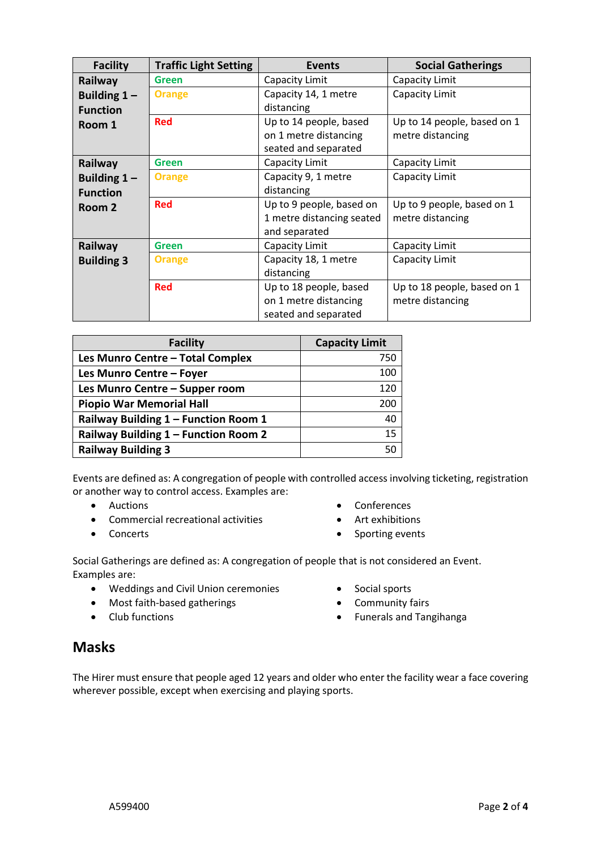| <b>Facility</b>   | <b>Traffic Light Setting</b> | <b>Events</b>             | <b>Social Gatherings</b>    |
|-------------------|------------------------------|---------------------------|-----------------------------|
| Railway           | <b>Green</b>                 | Capacity Limit            | Capacity Limit              |
| Building $1 -$    | <b>Orange</b>                | Capacity 14, 1 metre      | Capacity Limit              |
| <b>Function</b>   |                              | distancing                |                             |
| Room 1            | <b>Red</b>                   | Up to 14 people, based    | Up to 14 people, based on 1 |
|                   |                              | on 1 metre distancing     | metre distancing            |
|                   |                              | seated and separated      |                             |
| Railway           | Green                        | Capacity Limit            | Capacity Limit              |
| Building $1 -$    | <b>Orange</b>                | Capacity 9, 1 metre       | Capacity Limit              |
| <b>Function</b>   |                              | distancing                |                             |
| Room 2            | <b>Red</b>                   | Up to 9 people, based on  | Up to 9 people, based on 1  |
|                   |                              | 1 metre distancing seated | metre distancing            |
|                   |                              | and separated             |                             |
| Railway           | Green                        | Capacity Limit            | Capacity Limit              |
| <b>Building 3</b> | <b>Orange</b>                | Capacity 18, 1 metre      | Capacity Limit              |
|                   |                              | distancing                |                             |
|                   | <b>Red</b>                   | Up to 18 people, based    | Up to 18 people, based on 1 |
|                   |                              | on 1 metre distancing     | metre distancing            |
|                   |                              | seated and separated      |                             |

| <b>Facility</b>                      | <b>Capacity Limit</b> |
|--------------------------------------|-----------------------|
| Les Munro Centre - Total Complex     | 750                   |
| Les Munro Centre - Foyer             | 100                   |
| Les Munro Centre - Supper room       | 120                   |
| <b>Piopio War Memorial Hall</b>      | 200                   |
| Railway Building 1 - Function Room 1 | 40                    |
| Railway Building 1 - Function Room 2 | 15                    |
| <b>Railway Building 3</b>            | 50                    |

Events are defined as: A congregation of people with controlled access involving ticketing, registration or another way to control access. Examples are:

- Auctions
- Commercial recreational activities
- Concerts
- Conferences
- Art exhibitions
- Sporting events

Social Gatherings are defined as: A congregation of people that is not considered an Event. Examples are:

- Weddings and Civil Union ceremonies
- Most faith-based gatherings
- Club functions
- Social sports
- Community fairs
- Funerals and Tangihanga

#### **Masks**

The Hirer must ensure that people aged 12 years and older who enter the facility wear a face covering wherever possible, except when exercising and playing sports.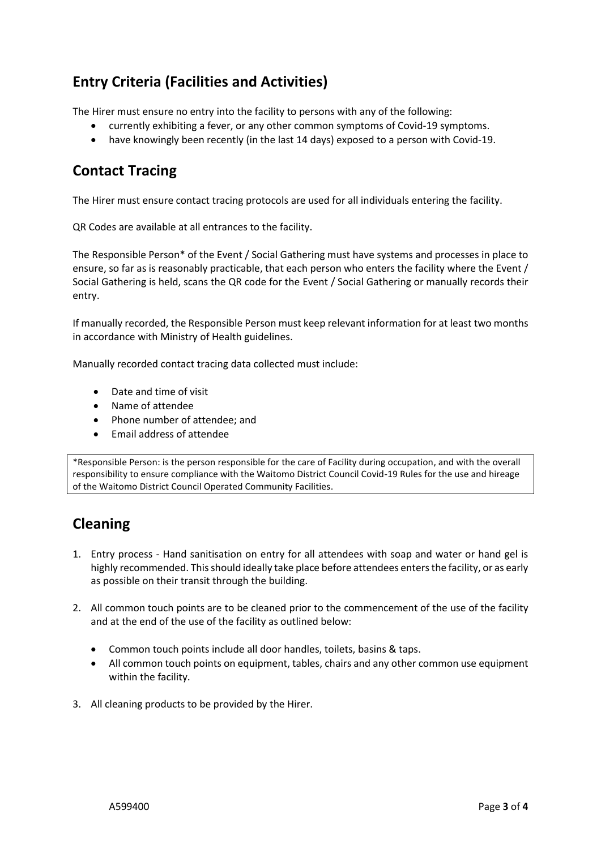## **Entry Criteria (Facilities and Activities)**

The Hirer must ensure no entry into the facility to persons with any of the following:

- currently exhibiting a fever, or any other common symptoms of Covid-19 symptoms.
- have knowingly been recently (in the last 14 days) exposed to a person with Covid-19.

#### **Contact Tracing**

The Hirer must ensure contact tracing protocols are used for all individuals entering the facility.

QR Codes are available at all entrances to the facility.

The Responsible Person\* of the Event / Social Gathering must have systems and processes in place to ensure, so far as is reasonably practicable, that each person who enters the facility where the Event / Social Gathering is held, scans the QR code for the Event / Social Gathering or manually records their entry.

If manually recorded, the Responsible Person must keep relevant information for at least two months in accordance with Ministry of Health guidelines.

Manually recorded contact tracing data collected must include:

- Date and time of visit
- Name of attendee
- Phone number of attendee; and
- Email address of attendee

\*Responsible Person: is the person responsible for the care of Facility during occupation, and with the overall responsibility to ensure compliance with the Waitomo District Council Covid-19 Rules for the use and hireage of the Waitomo District Council Operated Community Facilities.

## **Cleaning**

- 1. Entry process Hand sanitisation on entry for all attendees with soap and water or hand gel is highly recommended. This should ideally take place before attendees enters the facility, or as early as possible on their transit through the building.
- 2. All common touch points are to be cleaned prior to the commencement of the use of the facility and at the end of the use of the facility as outlined below:
	- Common touch points include all door handles, toilets, basins & taps.
	- All common touch points on equipment, tables, chairs and any other common use equipment within the facility.
- 3. All cleaning products to be provided by the Hirer.